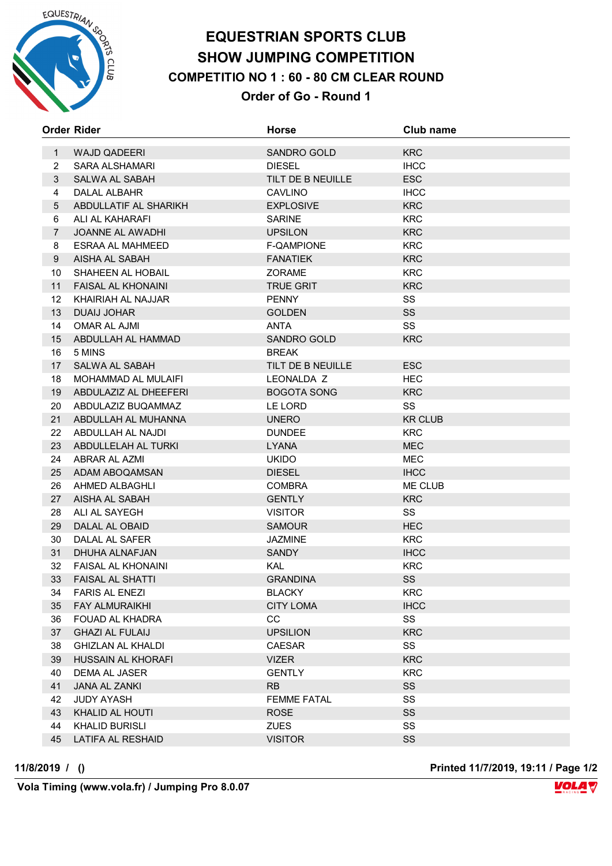

## **EQUESTRIAN SPORTS CLUB SHOW JUMPING COMPETITION COMPETITIO NO 1 : 60 - 80 CM CLEAR ROUND Order of Go - Round 1**

|                | <b>Order Rider</b>         | <b>Horse</b>       | Club name      |
|----------------|----------------------------|--------------------|----------------|
| $\mathbf{1}$   | <b>WAJD QADEERI</b>        | SANDRO GOLD        | <b>KRC</b>     |
| $\overline{2}$ | <b>SARA ALSHAMARI</b>      | <b>DIESEL</b>      | <b>IHCC</b>    |
| 3              | SALWA AL SABAH             | TILT DE B NEUILLE  | ESC            |
| $\overline{4}$ | DALAL ALBAHR               | <b>CAVLINO</b>     | <b>IHCC</b>    |
| $\overline{5}$ | ABDULLATIF AL SHARIKH      | <b>EXPLOSIVE</b>   | <b>KRC</b>     |
| 6              | ALI AL KAHARAFI            | <b>SARINE</b>      | <b>KRC</b>     |
| $\overline{7}$ | JOANNE AL AWADHI           | <b>UPSILON</b>     | <b>KRC</b>     |
| 8              | <b>ESRAA AL MAHMEED</b>    | F-QAMPIONE         | <b>KRC</b>     |
| 9              | AISHA AL SABAH             | <b>FANATIEK</b>    | <b>KRC</b>     |
| 10             | SHAHEEN AL HOBAIL          | <b>ZORAME</b>      | <b>KRC</b>     |
| 11             | FAISAL AL KHONAINI         | <b>TRUE GRIT</b>   | <b>KRC</b>     |
| 12             | KHAIRIAH AL NAJJAR         | <b>PENNY</b>       | SS             |
| 13             | <b>DUAIJ JOHAR</b>         | <b>GOLDEN</b>      | SS             |
| 14             | OMAR AL AJMI               | <b>ANTA</b>        | SS             |
| 15             | ABDULLAH AL HAMMAD         | <b>SANDRO GOLD</b> | <b>KRC</b>     |
| 16             | 5 MINS                     | <b>BREAK</b>       |                |
| 17             | <b>SALWA AL SABAH</b>      | TILT DE B NEUILLE  | <b>ESC</b>     |
| 18             | <b>MOHAMMAD AL MULAIFI</b> | LEONALDA Z         | <b>HEC</b>     |
| 19             | ABDULAZIZ AL DHEEFERI      | <b>BOGOTA SONG</b> | <b>KRC</b>     |
| 20             | ABDULAZIZ BUQAMMAZ         | LE LORD            | SS             |
| 21             | ABDULLAH AL MUHANNA        | <b>UNERO</b>       | <b>KR CLUB</b> |
| 22             | ABDULLAH AL NAJDI          | <b>DUNDEE</b>      | <b>KRC</b>     |
| 23             | ABDULLELAH AL TURKI        | <b>LYANA</b>       | <b>MEC</b>     |
| 24             | ABRAR AL AZMI              | <b>UKIDO</b>       | MEC            |
| 25             | ADAM ABOQAMSAN             | <b>DIESEL</b>      | <b>IHCC</b>    |
| 26             | AHMED ALBAGHLI             | <b>COMBRA</b>      | ME CLUB        |
| 27             | AISHA AL SABAH             | <b>GENTLY</b>      | <b>KRC</b>     |
| 28             | ALI AL SAYEGH              | <b>VISITOR</b>     | SS             |
| 29             | DALAL AL OBAID             | <b>SAMOUR</b>      | <b>HEC</b>     |
| 30             | DALAL AL SAFER             | <b>JAZMINE</b>     | <b>KRC</b>     |
| 31             | DHUHA ALNAFJAN             | <b>SANDY</b>       | <b>IHCC</b>    |
| 32             | <b>FAISAL AL KHONAINI</b>  | <b>KAL</b>         | <b>KRC</b>     |
| 33             | <b>FAISAL AL SHATTI</b>    | <b>GRANDINA</b>    | SS             |
| 34             | <b>FARIS AL ENEZI</b>      | <b>BLACKY</b>      | <b>KRC</b>     |
| 35             | <b>FAY ALMURAIKHI</b>      | <b>CITY LOMA</b>   | <b>IHCC</b>    |
| 36             | <b>FOUAD AL KHADRA</b>     | CC                 | SS             |
| 37             | <b>GHAZI AL FULAIJ</b>     | <b>UPSILION</b>    | <b>KRC</b>     |
| 38             | <b>GHIZLAN AL KHALDI</b>   | CAESAR             | SS             |
| 39             | HUSSAIN AL KHORAFI         | <b>VIZER</b>       | <b>KRC</b>     |
| 40             | DEMA AL JASER              | <b>GENTLY</b>      | <b>KRC</b>     |
| 41             | JANA AL ZANKI              | <b>RB</b>          | SS             |
| 42             | <b>JUDY AYASH</b>          | <b>FEMME FATAL</b> | SS             |
| 43             | KHALID AL HOUTI            | <b>ROSE</b>        | SS             |
| 44             | <b>KHALID BURISLI</b>      | <b>ZUES</b>        | SS             |
| 45             | <b>LATIFA AL RESHAID</b>   | <b>VISITOR</b>     | SS             |

 **Vola Timing (www.vola.fr) / Jumping Pro 8.0.07**

**11/8/2019 / () Printed 11/7/2019, 19:11 / Page 1/2**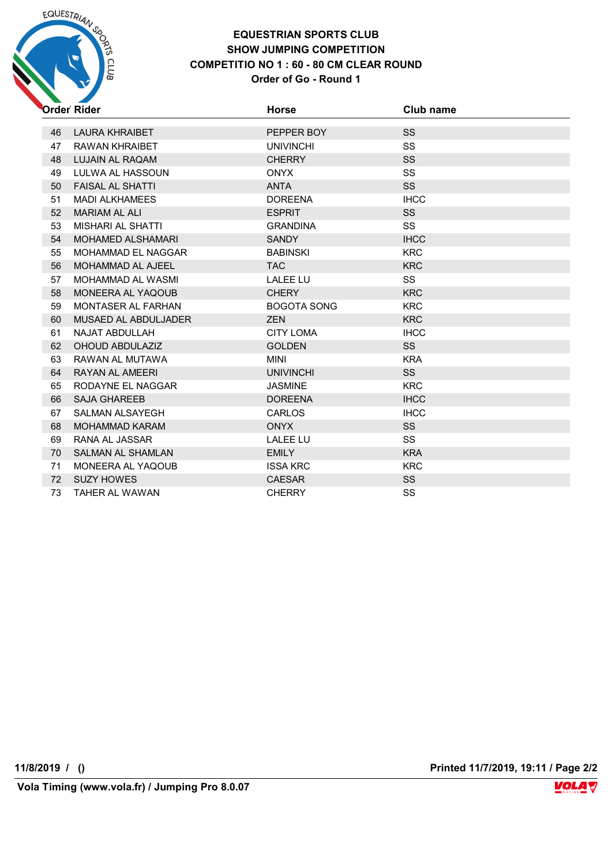

### **EQUESTRIAN SPORTS CLUB SHOW JUMPING COMPETITION COMPETITIO NO 1 : 60 - 80 CM CLEAR ROUND**

#### **Order of Go - Round 1**

|    | Order Rider              | <b>Horse</b>       | Club name   |
|----|--------------------------|--------------------|-------------|
|    |                          |                    |             |
| 46 | <b>LAURA KHRAIBET</b>    | PEPPER BOY         | SS          |
| 47 | RAWAN KHRAIBET           | <b>UNIVINCHI</b>   | <b>SS</b>   |
| 48 | LUJAIN AL RAQAM          | <b>CHERRY</b>      | <b>SS</b>   |
| 49 | LULWA AL HASSOUN         | <b>ONYX</b>        | <b>SS</b>   |
| 50 | <b>FAISAL AL SHATTI</b>  | <b>ANTA</b>        | <b>SS</b>   |
| 51 | <b>MADI ALKHAMEES</b>    | <b>DOREENA</b>     | <b>IHCC</b> |
| 52 | <b>MARIAM AL ALI</b>     | <b>ESPRIT</b>      | SS          |
| 53 | MISHARI AL SHATTI        | <b>GRANDINA</b>    | SS          |
| 54 | <b>MOHAMED ALSHAMARI</b> | <b>SANDY</b>       | <b>IHCC</b> |
| 55 | MOHAMMAD EL NAGGAR       | <b>BABINSKI</b>    | <b>KRC</b>  |
| 56 | MOHAMMAD AL AJEEL        | <b>TAC</b>         | <b>KRC</b>  |
| 57 | <b>MOHAMMAD AL WASMI</b> | <b>LALEE LU</b>    | SS          |
| 58 | MONEERA AL YAQOUB        | <b>CHERY</b>       | <b>KRC</b>  |
| 59 | MONTASER AL FARHAN       | <b>BOGOTA SONG</b> | <b>KRC</b>  |
| 60 | MUSAED AL ABDULJADER     | <b>ZEN</b>         | <b>KRC</b>  |
| 61 | NAJAT ABDULLAH           | <b>CITY LOMA</b>   | <b>IHCC</b> |
| 62 | OHOUD ABDULAZIZ          | <b>GOLDEN</b>      | SS          |
| 63 | RAWAN AL MUTAWA          | MINI               | <b>KRA</b>  |
| 64 | <b>RAYAN AL AMEERI</b>   | <b>UNIVINCHI</b>   | SS          |
| 65 | RODAYNE EL NAGGAR        | <b>JASMINE</b>     | <b>KRC</b>  |
| 66 | <b>SAJA GHAREEB</b>      | <b>DOREENA</b>     | <b>IHCC</b> |
| 67 | SALMAN ALSAYEGH          | <b>CARLOS</b>      | <b>IHCC</b> |
| 68 | <b>MOHAMMAD KARAM</b>    | <b>ONYX</b>        | SS          |
| 69 | RANA AL JASSAR           | <b>LALEE LU</b>    | <b>SS</b>   |
| 70 | <b>SALMAN AL SHAMLAN</b> | <b>EMILY</b>       | <b>KRA</b>  |
| 71 | MONEERA AL YAQOUB        | <b>ISSA KRC</b>    | <b>KRC</b>  |
| 72 | <b>SUZY HOWES</b>        | <b>CAESAR</b>      | SS          |
| 73 | <b>TAHER AL WAWAN</b>    | <b>CHERRY</b>      | SS          |

**11/8/2019 / () Printed 11/7/2019, 19:11 / Page 2/2**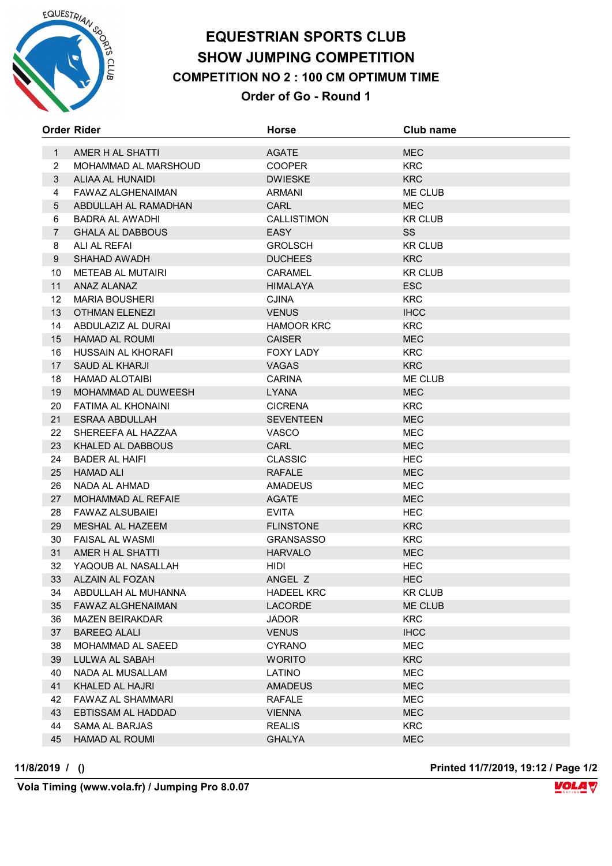

## **EQUESTRIAN SPORTS CLUB SHOW JUMPING COMPETITION COMPETITION NO 2 : 100 CM OPTIMUM TIME Order of Go - Round 1**

|                | <b>Order Rider</b>       | <b>Horse</b>      | Club name      |
|----------------|--------------------------|-------------------|----------------|
| $\mathbf{1}$   | AMER H AL SHATTI         | <b>AGATE</b>      | <b>MEC</b>     |
| $\overline{2}$ | MOHAMMAD AL MARSHOUD     | <b>COOPER</b>     | <b>KRC</b>     |
| 3              | ALIAA AL HUNAIDI         | <b>DWIESKE</b>    | <b>KRC</b>     |
| 4              | FAWAZ ALGHENAIMAN        | <b>ARMANI</b>     | ME CLUB        |
| 5              | ABDULLAH AL RAMADHAN     | <b>CARL</b>       | <b>MEC</b>     |
| 6              | <b>BADRA AL AWADHI</b>   | CALLISTIMON       | <b>KR CLUB</b> |
| $\overline{7}$ | <b>GHALA AL DABBOUS</b>  | <b>EASY</b>       | SS             |
| 8              | ALI AL REFAI             | <b>GROLSCH</b>    | <b>KR CLUB</b> |
| 9              | <b>SHAHAD AWADH</b>      | <b>DUCHEES</b>    | <b>KRC</b>     |
| 10             | <b>METEAB AL MUTAIRI</b> | CARAMEL           | <b>KR CLUB</b> |
| 11             | ANAZ ALANAZ              | HIMALAYA          | <b>ESC</b>     |
| 12             | <b>MARIA BOUSHERI</b>    | <b>CJINA</b>      | <b>KRC</b>     |
| 13             | <b>OTHMAN ELENEZI</b>    | <b>VENUS</b>      | <b>IHCC</b>    |
| 14             | ABDULAZIZ AL DURAI       | <b>HAMOOR KRC</b> | <b>KRC</b>     |
| 15             | HAMAD AL ROUMI           | <b>CAISER</b>     | <b>MEC</b>     |
| 16             | HUSSAIN AL KHORAFI       | <b>FOXY LADY</b>  | <b>KRC</b>     |
| 17             | <b>SAUD AL KHARJI</b>    | <b>VAGAS</b>      | <b>KRC</b>     |
| 18             | <b>HAMAD ALOTAIBI</b>    | <b>CARINA</b>     | ME CLUB        |
| 19             | MOHAMMAD AL DUWEESH      | <b>LYANA</b>      | <b>MEC</b>     |
| 20             | FATIMA AL KHONAINI       | <b>CICRENA</b>    | <b>KRC</b>     |
| 21             | ESRAA ABDULLAH           | <b>SEVENTEEN</b>  | <b>MEC</b>     |
| 22             | SHEREEFA AL HAZZAA       | VASCO             | <b>MEC</b>     |
| 23             | KHALED AL DABBOUS        | CARL              | <b>MEC</b>     |
| 24             | <b>BADER AL HAIFI</b>    | <b>CLASSIC</b>    | <b>HEC</b>     |
| 25             | <b>HAMAD ALI</b>         | <b>RAFALE</b>     | <b>MEC</b>     |
| 26             | NADA AL AHMAD            | AMADEUS           | MEC            |
| 27             | MOHAMMAD AL REFAIE       | <b>AGATE</b>      | <b>MEC</b>     |
| 28             | <b>FAWAZ ALSUBAIEI</b>   | <b>EVITA</b>      | <b>HEC</b>     |
| 29             | MESHAL AL HAZEEM         | <b>FLINSTONE</b>  | <b>KRC</b>     |
| 30             | <b>FAISAL AL WASMI</b>   | <b>GRANSASSO</b>  | <b>KRC</b>     |
| 31             | AMER H AL SHATTI         | <b>HARVALO</b>    | <b>MEC</b>     |
| 32             | YAQOUB AL NASALLAH       | HIDI.             | <b>HEC</b>     |
| 33             | ALZAIN AL FOZAN          | ANGEL Z           | <b>HEC</b>     |
| 34             | ABDULLAH AL MUHANNA      | <b>HADEEL KRC</b> | <b>KR CLUB</b> |
| 35             | FAWAZ ALGHENAIMAN        | <b>LACORDE</b>    | ME CLUB        |
| 36             | <b>MAZEN BEIRAKDAR</b>   | <b>JADOR</b>      | <b>KRC</b>     |
| 37             | <b>BAREEQ ALALI</b>      | <b>VENUS</b>      | <b>IHCC</b>    |
| 38             | MOHAMMAD AL SAEED        | <b>CYRANO</b>     | MEC            |
| 39             | LULWA AL SABAH           | <b>WORITO</b>     | <b>KRC</b>     |
| 40             | NADA AL MUSALLAM         | LATINO            | MEC            |
| 41             | KHALED AL HAJRI          | <b>AMADEUS</b>    | <b>MEC</b>     |
| 42             | <b>FAWAZ AL SHAMMARI</b> | <b>RAFALE</b>     | <b>MEC</b>     |
| 43             | EBTISSAM AL HADDAD       | <b>VIENNA</b>     | <b>MEC</b>     |
| 44             | SAMA AL BARJAS           | <b>REALIS</b>     | <b>KRC</b>     |
| 45             | <b>HAMAD AL ROUMI</b>    | <b>GHALYA</b>     | <b>MEC</b>     |

**11/8/2019 / () Printed 11/7/2019, 19:12 / Page 1/2**

 **Vola Timing (www.vola.fr) / Jumping Pro 8.0.07**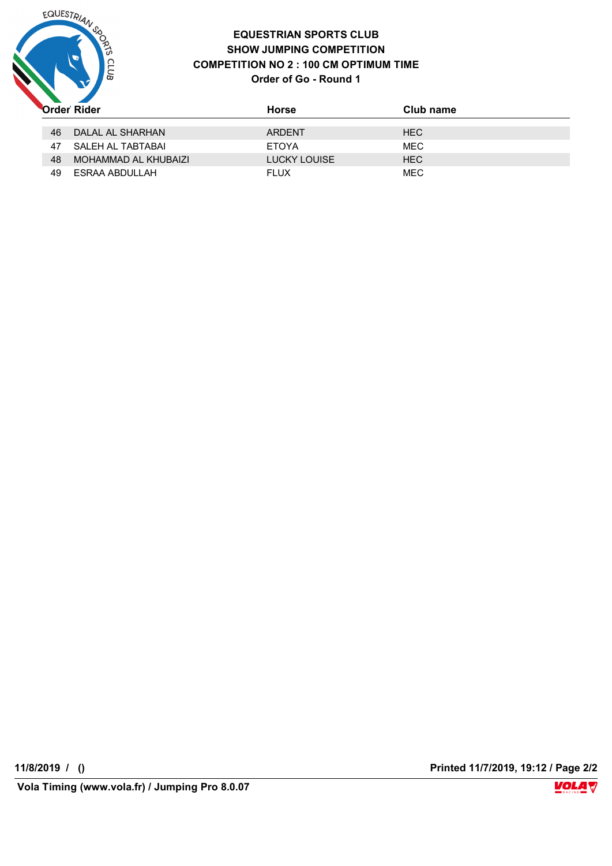

#### **EQUESTRIAN SPORTS CLUB SHOW JUMPING COMPETITION COMPETITION NO 2 : 100 CM OPTIMUM TIME Order of Go - Round 1**

|    | <b>Order Rider</b>   | Horse        | Club name  |
|----|----------------------|--------------|------------|
| 46 | DALAL AL SHARHAN     | ARDENT       | <b>HEC</b> |
| 47 | SALEH AL TABTABAI    | <b>ETOYA</b> | <b>MEC</b> |
| 48 | MOHAMMAD AL KHUBAIZI | LUCKY LOUISE | <b>HEC</b> |
| 49 | ESRAA ABDULLAH       | <b>FLUX</b>  | <b>MEC</b> |

**11/8/2019 / () Printed 11/7/2019, 19:12 / Page 2/2**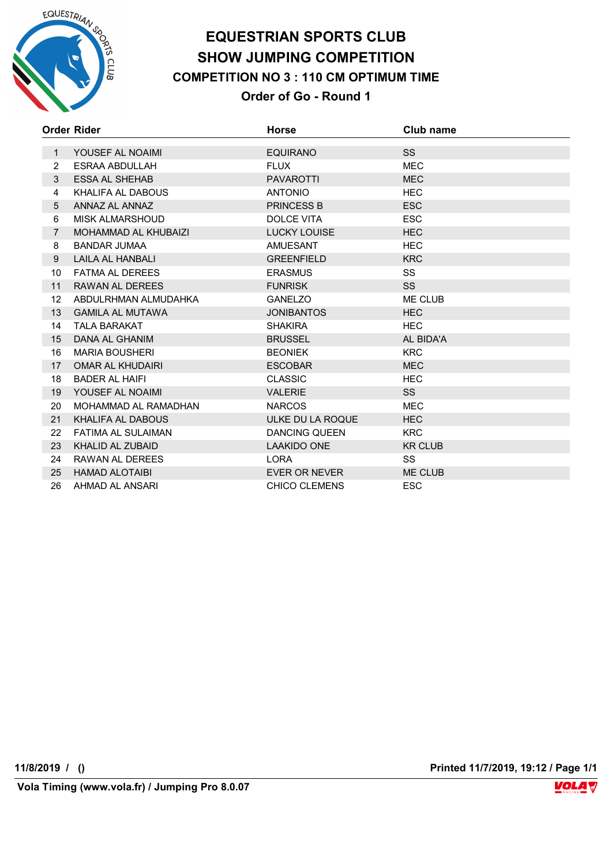

## **EQUESTRIAN SPORTS CLUB SHOW JUMPING COMPETITION COMPETITION NO 3 : 110 CM OPTIMUM TIME Order of Go - Round 1**

|                | Order Rider                 | Horse                | Club name      |
|----------------|-----------------------------|----------------------|----------------|
| $\mathbf{1}$   | YOUSEF AL NOAIMI            | <b>EQUIRANO</b>      | <b>SS</b>      |
| 2              | ESRAA ABDULLAH              | <b>FLUX</b>          | <b>MEC</b>     |
| 3              | <b>ESSA AL SHEHAB</b>       | <b>PAVAROTTI</b>     | <b>MEC</b>     |
| 4              | KHALIFA AL DABOUS           | <b>ANTONIO</b>       | <b>HEC</b>     |
| 5              | ANNAZ AL ANNAZ              | <b>PRINCESS B</b>    | <b>ESC</b>     |
| 6              | <b>MISK ALMARSHOUD</b>      | <b>DOLCE VITA</b>    | <b>ESC</b>     |
| $\overline{7}$ | <b>MOHAMMAD AL KHUBAIZI</b> | <b>LUCKY LOUISE</b>  | <b>HEC</b>     |
| 8              | <b>BANDAR JUMAA</b>         | <b>AMUESANT</b>      | <b>HEC</b>     |
| 9              | <b>LAILA AL HANBALI</b>     | <b>GREENFIELD</b>    | <b>KRC</b>     |
| 10             | <b>FATMA AL DEREES</b>      | <b>ERASMUS</b>       | <b>SS</b>      |
| 11             | RAWAN AL DEREES             | <b>FUNRISK</b>       | <b>SS</b>      |
| 12             | ABDULRHMAN ALMUDAHKA        | <b>GANELZO</b>       | ME CLUB        |
| 13             | <b>GAMILA AL MUTAWA</b>     | <b>JONIBANTOS</b>    | <b>HEC</b>     |
| 14             | <b>TALA BARAKAT</b>         | <b>SHAKIRA</b>       | <b>HEC</b>     |
| 15             | DANA AL GHANIM              | <b>BRUSSEL</b>       | AL BIDA'A      |
| 16             | <b>MARIA BOUSHERI</b>       | <b>BEONIEK</b>       | <b>KRC</b>     |
| 17             | OMAR AL KHUDAIRI            | <b>ESCOBAR</b>       | <b>MEC</b>     |
| 18             | <b>BADER AL HAIFI</b>       | <b>CLASSIC</b>       | <b>HEC</b>     |
| 19             | YOUSEF AL NOAIMI            | <b>VALERIE</b>       | <b>SS</b>      |
| 20             | MOHAMMAD AL RAMADHAN        | <b>NARCOS</b>        | <b>MEC</b>     |
| 21             | KHALIFA AL DABOUS           | ULKE DU LA ROQUE     | <b>HEC</b>     |
| 22             | <b>FATIMA AL SULAIMAN</b>   | <b>DANCING QUEEN</b> | <b>KRC</b>     |
| 23             | <b>KHALID AL ZUBAID</b>     | <b>LAAKIDO ONE</b>   | <b>KR CLUB</b> |
| 24             | RAWAN AL DEREES             | <b>LORA</b>          | SS             |
| 25             | <b>HAMAD ALOTAIBI</b>       | EVER OR NEVER        | <b>ME CLUB</b> |
| 26             | AHMAD AL ANSARI             | <b>CHICO CLEMENS</b> | <b>ESC</b>     |

**11/8/2019 / () Printed 11/7/2019, 19:12 / Page 1/1**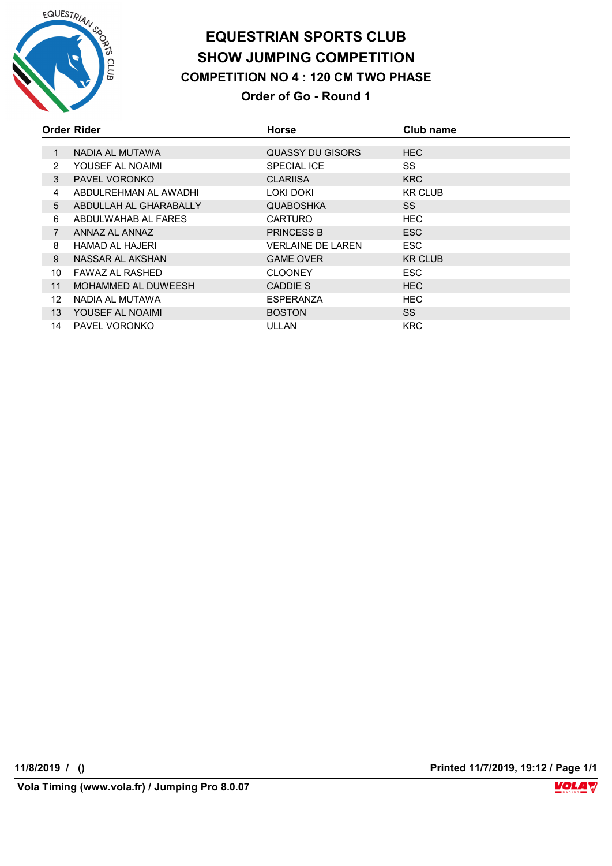

## **EQUESTRIAN SPORTS CLUB SHOW JUMPING COMPETITION COMPETITION NO 4 : 120 CM TWO PHASE Order of Go - Round 1**

|                 | Order Rider            | <b>Horse</b>      | Club name      |
|-----------------|------------------------|-------------------|----------------|
|                 |                        |                   |                |
| $\mathbf{1}$    | NADIA AL MUTAWA        | QUASSY DU GISORS  | <b>HEC</b>     |
| 2               | YOUSEF AL NOAIMI       | SPECIAL ICE       | SS             |
| 3               | <b>PAVEL VORONKO</b>   | <b>CLARIISA</b>   | <b>KRC</b>     |
| 4               | ABDULREHMAN AL AWADHI  | LOKI DOKI         | <b>KR CLUB</b> |
| 5               | ABDULLAH AL GHARABALLY | <b>QUABOSHKA</b>  | SS.            |
| 6               | ABDULWAHAB AL FARES    | <b>CARTURO</b>    | <b>HEC</b>     |
| $\overline{7}$  | ANNAZ AL ANNAZ         | <b>PRINCESS B</b> | ESC            |
| 8               | HAMAD AL HAJERI        | VERLAINE DE LAREN | <b>ESC</b>     |
| 9               | NASSAR AL AKSHAN       | <b>GAME OVER</b>  | <b>KR CLUB</b> |
| 10              | FAWAZ AL RASHED        | <b>CLOONEY</b>    | ESC            |
| 11              | MOHAMMED AL DUWEESH    | CADDIE S          | <b>HEC</b>     |
| 12              | NADIA AL MUTAWA        | <b>ESPERANZA</b>  | HEC.           |
| 13 <sup>°</sup> | YOUSEF AL NOAIMI       | <b>BOSTON</b>     | <b>SS</b>      |
| 14              | PAVEL VORONKO          | ULLAN             | <b>KRC</b>     |

**11/8/2019 / () Printed 11/7/2019, 19:12 / Page 1/1**